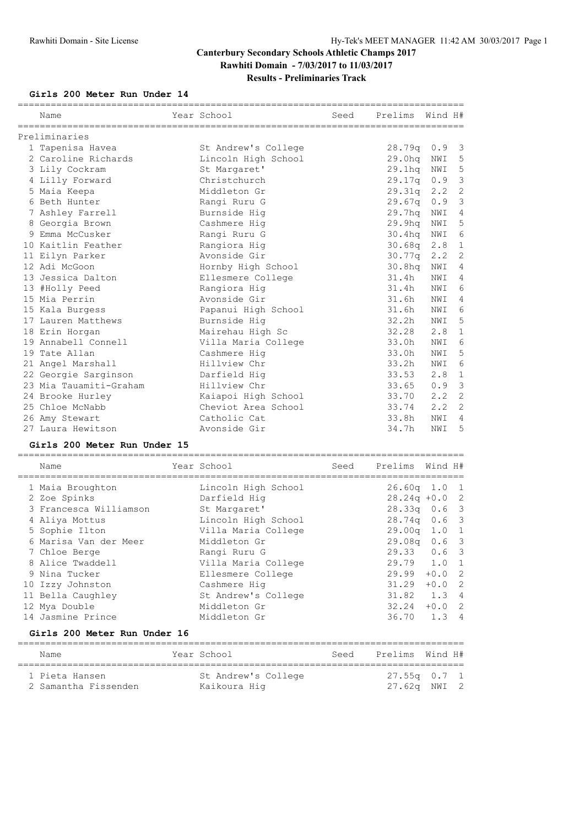# **Canterbury Secondary Schools Athletic Champs 2017 Rawhiti Domain - 7/03/2017 to 11/03/2017 Results - Preliminaries Track**

### **Girls 200 Meter Run Under 14**

| Name                   | Year School         | Seed | Prelims Wind H#    |             |                         |
|------------------------|---------------------|------|--------------------|-------------|-------------------------|
| Preliminaries          |                     |      |                    |             |                         |
| 1 Tapenisa Havea       | St Andrew's College |      | 28.79q             | $0.9$ 3     |                         |
| 2 Caroline Richards    | Lincoln High School |      | 29.0hq             | NWI 5       |                         |
| 3 Lily Cockram         | St Margaret'        |      | 29.1ha             | NWI         | 5                       |
| 4 Lilly Forward        | Christchurch        |      | 29.17q 0.9 3       |             |                         |
| 5 Maia Keepa           | Middleton Gr        |      | 29.31q             | $2 \cdot 2$ | $\overline{c}$          |
| 6 Beth Hunter          | Rangi Ruru G        |      | 29.67a             | 0.9         | $\overline{\mathbf{3}}$ |
| 7 Ashley Farrell       | Burnside Hig        |      | 29.7hq             | NWI         | $\overline{4}$          |
| 8 Georgia Brown        | Cashmere Hig        |      | 29.9hq             | NWI         | 5                       |
| 9 Emma McCusker        | Rangi Ruru G        |      | 30.4 <sub>hq</sub> | NWI         | 6                       |
| 10 Kaitlin Feather     | Rangiora Hig        |      | 30.68q             | 2.8         | $\mathbf{1}$            |
| 11 Eilyn Parker        | Avonside Gir        |      | 30.77q             | 2, 2        | 2                       |
| 12 Adi McGoon          | Hornby High School  |      | 30.8ha             | NWI         | $\overline{4}$          |
| 13 Jessica Dalton      | Ellesmere College   |      | 31.4h              | NWI         | 4                       |
| 13 #Holly Peed         | Rangiora Hig        |      | 31.4h              | NWI         | 6                       |
| 15 Mia Perrin          | Avonside Gir        |      | 31.6h              | NWI         | 4                       |
| 15 Kala Burgess        | Papanui High School |      | 31.6h              | NWI         | - 6                     |
| 17 Lauren Matthews     | Burnside Hig        |      | 32.2h              | NWI         | $-5$                    |
| 18 Erin Horgan         | Mairehau High Sc    |      | 32.28              | 2.8         | $\overline{1}$          |
| 19 Annabell Connell    | Villa Maria College |      | 33.0h              | NWI         | 6                       |
| 19 Tate Allan          | Cashmere Hig        |      | 33.0h              | NWI         | 5                       |
| 21 Angel Marshall      | Hillview Chr        |      | 33.2h              | NWI         | 6                       |
| 22 Georgie Sarginson   | Darfield Hig        |      | 33.53              | 2.8         | $\mathbf{1}$            |
| 23 Mia Tauamiti-Graham | Hillview Chr        |      | 33.65              | $0.9$ 3     |                         |
| 24 Brooke Hurley       | Kaiapoi High School |      | 33.70              | 2, 2        | $\overline{c}$          |
| 25 Chloe McNabb        | Cheviot Area School |      | 33.74              | 2.2         | 2                       |
| 26 Amy Stewart         | Catholic Cat        |      | 33.8h              | NWI         | 4                       |
| 27 Laura Hewitson      | Avonside Gir        |      | 34.7h              | NWI         | 5                       |
|                        |                     |      |                    |             |                         |

### **Girls 200 Meter Run Under 15**

| Name                   | Year School         | Seed | Prelims           | Wind H#  |  |
|------------------------|---------------------|------|-------------------|----------|--|
| 1 Maia Broughton       | Lincoln High School |      | $26.60q$ 1.0 1    |          |  |
| 2 Zoe Spinks           | Darfield Hig        |      | $28.24q + 0.0$ 2  |          |  |
| 3 Francesca Williamson | St Margaret'        |      | $28.33q$ 0.6 3    |          |  |
| 4 Aliya Mottus         | Lincoln High School |      | $28.74q$ 0.6 3    |          |  |
| 5 Sophie Ilton         | Villa Maria College |      | $29.00q$ 1.0 1    |          |  |
| 6 Marisa Van der Meer  | Middleton Gr        |      | $29.08q$ 0.6 3    |          |  |
| 7 Chloe Berge          | Rangi Ruru G        |      | $29.33$ 0.6 3     |          |  |
| 8 Alice Twaddell       | Villa Maria College |      | 29.79 1.0 1       |          |  |
| 9 Nina Tucker          | Ellesmere College   |      | 29.99             | $+0.0$ 2 |  |
| 10 Izzy Johnston       | Cashmere Hig        |      | 31.29             | $+0.0$ 2 |  |
| 11 Bella Caughley      | St Andrew's College |      | $31.82 \t1.3 \t4$ |          |  |
| 12 Mya Double          | Middleton Gr        |      | 32.24             | $+0.0$ 2 |  |
| 14 Jasmine Prince      | Middleton Gr        |      | 36.70 1.3 4       |          |  |
|                        |                     |      |                   |          |  |

#### **Girls 200 Meter Run Under 16**

| Name                                   | Year School                         | Seed | Prelims Wind H#                |  |
|----------------------------------------|-------------------------------------|------|--------------------------------|--|
| 1 Pieta Hansen<br>2 Samantha Fissenden | St Andrew's College<br>Kaikoura Hig |      | $27.55q$ 0.7 1<br>27.62a NWI 2 |  |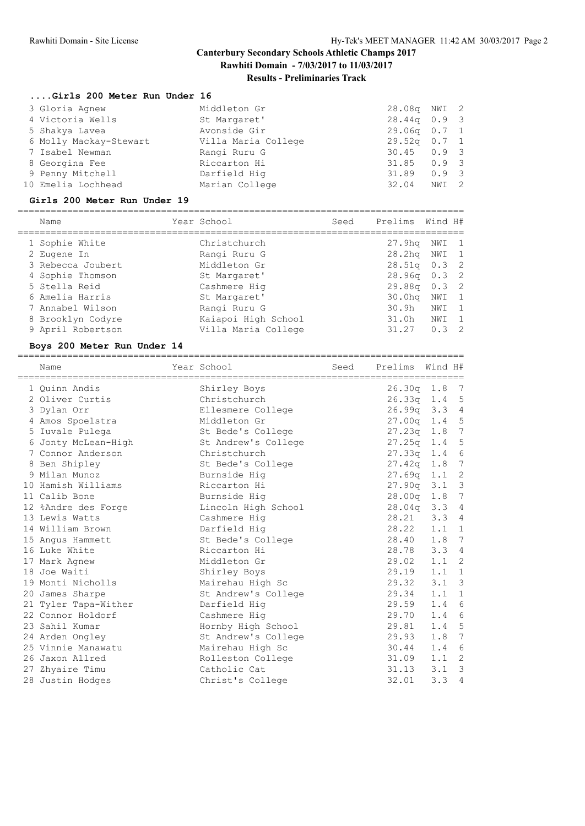# **Canterbury Secondary Schools Athletic Champs 2017 Rawhiti Domain - 7/03/2017 to 11/03/2017**

# **Results - Preliminaries Track**

#### **....Girls 200 Meter Run Under 16**

| 3 Gloria Agnew         | Middleton Gr        | 28.08q NWI 2   |       |  |
|------------------------|---------------------|----------------|-------|--|
| 4 Victoria Wells       | St Margaret'        | $28.44q$ 0.9 3 |       |  |
| 5 Shakya Lavea         | Avonside Gir        | $29.06q$ 0.7 1 |       |  |
| 6 Molly Mackay-Stewart | Villa Maria College | $29.52q$ 0.7 1 |       |  |
| 7 Isabel Newman        | Rangi Ruru G        | $30.45$ 0.9 3  |       |  |
| 8 Georgina Fee         | Riccarton Hi        | $31.85$ 0.9 3  |       |  |
| 9 Penny Mitchell       | Darfield Hig        | $31.89$ 0.9 3  |       |  |
| 10 Emelia Lochhead     | Marian College      | 32.04          | NWI 2 |  |
|                        |                     |                |       |  |

#### **Girls 200 Meter Run Under 19**

| Name              | Year School         | Seed | Prelims            | Wind H# |                |
|-------------------|---------------------|------|--------------------|---------|----------------|
| 1 Sophie White    | Christchurch        |      | 27.9 <sub>hq</sub> | NWI 1   |                |
| 2 Eugene In       | Rangi Ruru G        |      | 28.2hq NWI 1       |         |                |
| 3 Rebecca Joubert | Middleton Gr        |      | $28.51q$ 0.3 2     |         |                |
| 4 Sophie Thomson  | St Margaret'        |      | $28.96q$ 0.3 2     |         |                |
| 5 Stella Reid     | Cashmere Hig        |      | $29.88q$ 0.3 2     |         |                |
| 6 Amelia Harris   | St Margaret'        |      | 30.0 <sub>hq</sub> | NWI 1   |                |
| 7 Annabel Wilson  | Rangi Ruru G        |      | 30.9h              | NWI     | $\overline{1}$ |
| 8 Brooklyn Codyre | Kaiapoi High School |      | 31.0h              | NWI     | $\overline{1}$ |
| 9 April Robertson | Villa Maria College |      | 31.27              | 0.3     | $\overline{2}$ |
|                   |                     |      |                    |         |                |

### **Boys 200 Meter Run Under 14**

| Name                 | Year School         | Seed Prelims Wind H# |     |                |
|----------------------|---------------------|----------------------|-----|----------------|
| 1 Ouinn Andis        | Shirley Boys        | $26.30q$ 1.8         |     | 7              |
| 2 Oliver Curtis      | Christchurch        | $26.33q$ 1.4 5       |     |                |
| 3 Dylan Orr          | Ellesmere College   | $26.99q$ 3.3 4       |     |                |
| 4 Amos Spoelstra     | Middleton Gr        | $27.00q$ 1.4         |     | 5              |
| 5 Iuvale Pulega      | St Bede's College   | $27.23q$ 1.8 7       |     |                |
| 6 Jonty McLean-High  | St Andrew's College | $27.25q$ 1.4         |     | 5              |
| 7 Connor Anderson    | Christchurch        | $27.33q$ 1.4 6       |     |                |
| 8 Ben Shipley        | St Bede's College   | $27.42q$ 1.8 7       |     |                |
| 9 Milan Munoz        | Burnside Hig        | $27.69q$ 1.1 2       |     |                |
| 10 Hamish Williams   | Riccarton Hi        | $27.90q$ $3.1$       |     | $\mathcal{S}$  |
| 11 Calib Bone        | Burnside Hig        | $28.00q$ 1.8         |     | 7              |
| 12 %Andre des Forge  | Lincoln High School | 28.04q 3.3 4         |     |                |
| 13 Lewis Watts       | Cashmere Hig        | 28.21 3.3            |     | $\overline{4}$ |
| 14 William Brown     | Darfield Hig        | $28.22$ 1.1 1        |     |                |
| 15 Angus Hammett     | St Bede's College   | 28.40 1.8            |     | 7              |
| 16 Luke White        | Riccarton Hi        | 28.78 3.3            |     | $\overline{4}$ |
| 17 Mark Agnew        | Middleton Gr        | $29.02 \quad 1.1$    |     | 2              |
| 18 Joe Waiti         | Shirley Boys        | 29.19 1.1 1          |     |                |
| 19 Monti Nicholls    | Mairehau High Sc    | 29.32 3.1            |     | $\mathcal{E}$  |
| 20 James Sharpe      | St Andrew's College | $29.34$ 1.1 1        |     |                |
| 21 Tyler Tapa-Wither | Darfield Hig        | 29.59                | 1.4 | 6              |
| 22 Connor Holdorf    | Cashmere Hig        | 29.70 1.4            |     | 6              |
| 23 Sahil Kumar       | Hornby High School  | 29.81 1.4            |     | 5              |
| 24 Arden Ongley      | St Andrew's College | 29.93 1.8 7          |     |                |
| 25 Vinnie Manawatu   | Mairehau High Sc    | $30.44$ 1.4          |     | 6              |
| 26 Jaxon Allred      | Rolleston College   | $31.09$ $1.1$        |     | 2              |
| 27 Zhyaire Timu      | Catholic Cat        | $31.13$ $3.1$        |     | $\mathbf{3}$   |
| 28 Justin Hodges     | Christ's College    | 32.01                | 3.3 | $\overline{4}$ |
|                      |                     |                      |     |                |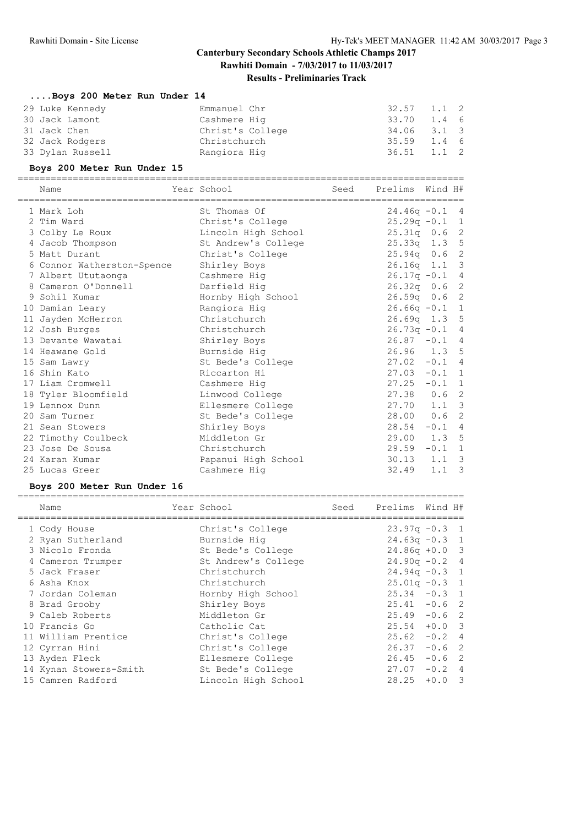### **Canterbury Secondary Schools Athletic Champs 2017 Rawhiti Domain - 7/03/2017 to 11/03/2017**

**Results - Preliminaries Track**

| Boys 200 Meter Run Under 14 |  |  |  |  |  |  |
|-----------------------------|--|--|--|--|--|--|
|-----------------------------|--|--|--|--|--|--|

| Emmanuel Chr                                                                             |                  |                                                                             |
|------------------------------------------------------------------------------------------|------------------|-----------------------------------------------------------------------------|
| Cashmere Hig                                                                             |                  |                                                                             |
|                                                                                          |                  |                                                                             |
| Christchurch                                                                             |                  |                                                                             |
| Rangiora Hig                                                                             |                  |                                                                             |
| 29 Luke Kennedy<br>30 Jack Lamont<br>31 Jack Chen<br>32 Jack Rodgers<br>33 Dylan Russell | Christ's College | $32.57$ 1.1 2<br>33.70 1.4 6<br>34.06 3.1 3<br>35.59 1.4 6<br>$36.51$ 1.1 2 |

#### **Boys 200 Meter Run Under 15**

================================================================================= Name Year School Seed Prelims Wind H# ================================================================================= 1 Mark Loh St Thomas Of 24.46q -0.1 4 2 Tim Ward Christ's College 25.29q -0.1 1 3 Colby Le Roux Lincoln High School 25.31q 0.6 2 4 Jacob Thompson St Andrew's College 25.33q 1.3 5 5 Matt Durant Christ's College 25.94q 0.6 2 6 Connor Watherston-Spence Shirley Boys 26.16q 1.1 3 7 Albert Ututaonga Cashmere Hig 26.17q -0.1 4 8 Cameron O'Donnell Darfield Hig 26.32q 0.6 2 9 Sohil Kumar Hornby High School 26.59q 0.6 2 10 Damian Leary Rangiora Hig 26.66q -0.1 1 11 Jayden McHerron Christchurch 26.69q 1.3 5 12 Josh Burges Christchurch 26.73q -0.1 4 13 Devante Wawatai Shirley Boys 26.87 -0.1 4 14 Heawane Gold Burnside Hig 26.96 1.3 5 15 Sam Lawry St Bede's College 27.02 -0.1 4 16 Shin Kato Riccarton Hi 27.03 -0.1 1 17 Liam Cromwell Cashmere Hig 27.25 -0.1 1 18 Tyler Bloomfield Linwood College 27.38 0.6 2 19 Lennox Dunn Ellesmere College 27.70 1.1 3 20 Sam Turner St Bede's College 28.00 0.6 2 21 Sean Stowers Shirley Boys 28.54 -0.1 4 22 Timothy Coulbeck Middleton Gr 29.00 1.3 5 23 Jose De Sousa Christchurch 29.59 -0.1 1 24 Karan Kumar Papanui High School 30.13 1.1 3 25 Lucas Greer Cashmere Hig 32.49 1.1 3

#### **Boys 200 Meter Run Under 16**

| Prelims Wind H#  |                                                                                                                                                     |
|------------------|-----------------------------------------------------------------------------------------------------------------------------------------------------|
| $23.97q - 0.3$ 1 |                                                                                                                                                     |
| $24.63q - 0.3$ 1 |                                                                                                                                                     |
| $24.86q +0.0$ 3  |                                                                                                                                                     |
| $24.90q - 0.2$ 4 |                                                                                                                                                     |
|                  |                                                                                                                                                     |
|                  |                                                                                                                                                     |
|                  |                                                                                                                                                     |
|                  |                                                                                                                                                     |
|                  |                                                                                                                                                     |
|                  |                                                                                                                                                     |
| $-0.2$ 4         |                                                                                                                                                     |
| $-0.6$ 2         |                                                                                                                                                     |
| $-0.6$ 2         |                                                                                                                                                     |
| $-0.2$ 4         |                                                                                                                                                     |
| $+0.0$           | $\overline{\mathbf{3}}$                                                                                                                             |
| 28.25            | $24.94q - 0.3$ 1<br>$25.01q - 0.3$ 1<br>$25.34 -0.3$ 1<br>$25.41 - 0.6$ 2<br>$25.49 - 0.6$ 2<br>$25.54 + 0.0$ 3<br>25.62<br>26.37<br>26.45<br>27.07 |